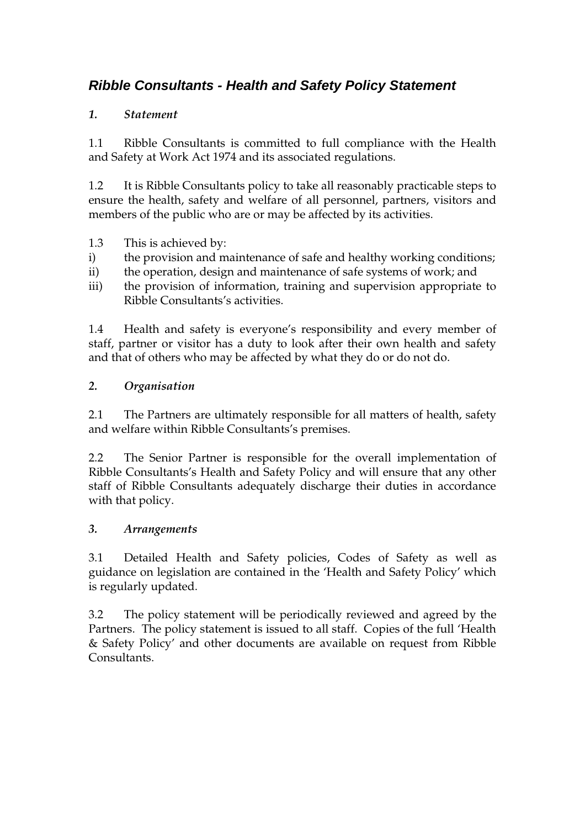# **Ribble Consultants - Health and Safety Policy Statement**

### *1. Statement*

1.1 Ribble Consultants is committed to full compliance with the Health and Safety at Work Act 1974 and its associated regulations.

1.2 It is Ribble Consultants policy to take all reasonably practicable steps to ensure the health, safety and welfare of all personnel, partners, visitors and members of the public who are or may be affected by its activities.

- 1.3 This is achieved by:
- i) the provision and maintenance of safe and healthy working conditions;
- ii) the operation, design and maintenance of safe systems of work; and
- iii) the provision of information, training and supervision appropriate to Ribble Consultants's activities.

1.4 Health and safety is everyone's responsibility and every member of staff, partner or visitor has a duty to look after their own health and safety and that of others who may be affected by what they do or do not do.

## *2. Organisation*

2.1 The Partners are ultimately responsible for all matters of health, safety and welfare within Ribble Consultants's premises.

2.2 The Senior Partner is responsible for the overall implementation of Ribble Consultants's Health and Safety Policy and will ensure that any other staff of Ribble Consultants adequately discharge their duties in accordance with that policy.

### *3. Arrangements*

3.1 Detailed Health and Safety policies, Codes of Safety as well as guidance on legislation are contained in the 'Health and Safety Policy' which is regularly updated.

3.2 The policy statement will be periodically reviewed and agreed by the Partners. The policy statement is issued to all staff. Copies of the full 'Health & Safety Policy' and other documents are available on request from Ribble Consultants.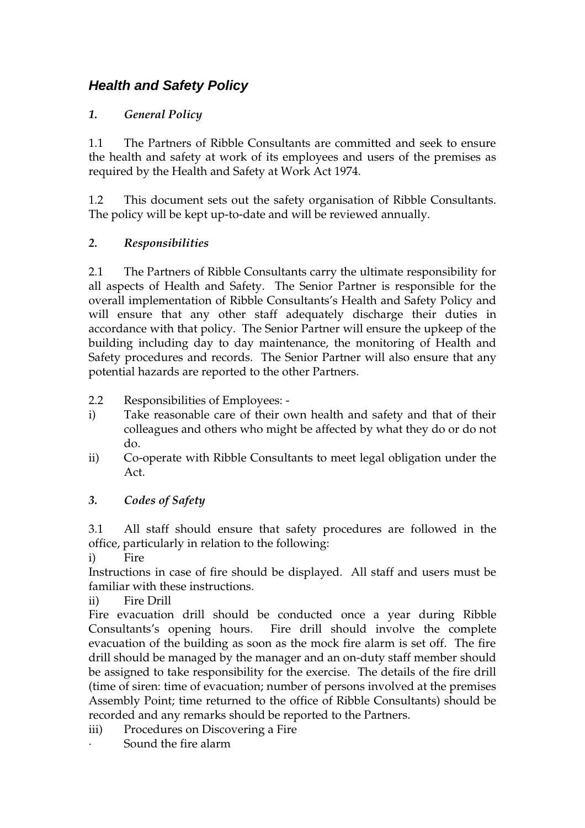# **Health and Safety Policy**

## *1. General Policy*

1.1 The Partners of Ribble Consultants are committed and seek to ensure the health and safety at work of its employees and users of the premises as required by the Health and Safety at Work Act 1974.

1.2 This document sets out the safety organisation of Ribble Consultants. The policy will be kept up-to-date and will be reviewed annually.

## *2. Responsibilities*

2.1 The Partners of Ribble Consultants carry the ultimate responsibility for all aspects of Health and Safety. The Senior Partner is responsible for the overall implementation of Ribble Consultants's Health and Safety Policy and will ensure that any other staff adequately discharge their duties in accordance with that policy. The Senior Partner will ensure the upkeep of the building including day to day maintenance, the monitoring of Health and Safety procedures and records. The Senior Partner will also ensure that any potential hazards are reported to the other Partners.

- 2.2 Responsibilities of Employees:
- i) Take reasonable care of their own health and safety and that of their colleagues and others who might be affected by what they do or do not do.
- ii) Co-operate with Ribble Consultants to meet legal obligation under the Act.

## *3. Codes of Safety*

3.1 All staff should ensure that safety procedures are followed in the office, particularly in relation to the following:

i) Fire

Instructions in case of fire should be displayed. All staff and users must be familiar with these instructions.

ii) Fire Drill

Fire evacuation drill should be conducted once a year during Ribble Consultants's opening hours. Fire drill should involve the complete evacuation of the building as soon as the mock fire alarm is set off. The fire drill should be managed by the manager and an on-duty staff member should be assigned to take responsibility for the exercise. The details of the fire drill (time of siren: time of evacuation; number of persons involved at the premises Assembly Point; time returned to the office of Ribble Consultants) should be recorded and any remarks should be reported to the Partners.

iii) Procedures on Discovering a Fire ∙ Sound the fire alarm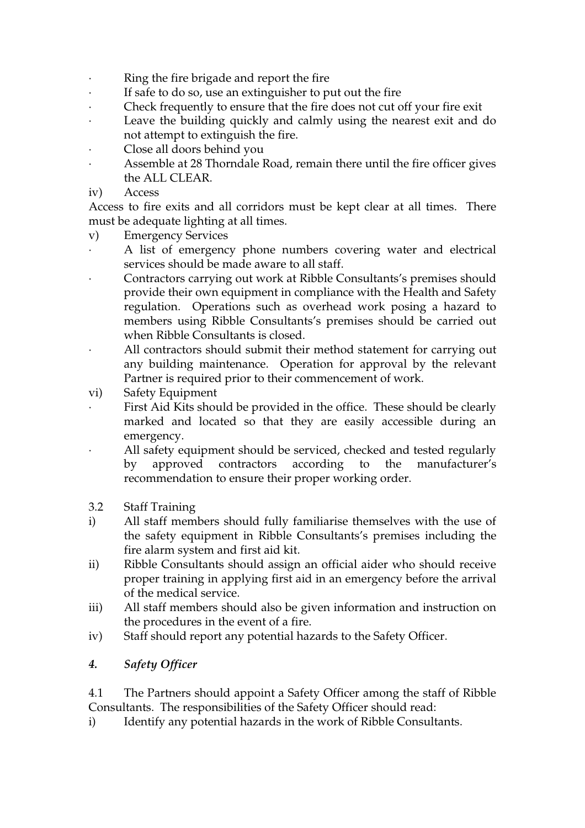- ∙ Ring the fire brigade and report the fire
- ∙ If safe to do so, use an extinguisher to put out the fire
- ∙ Check frequently to ensure that the fire does not cut off your fire exit
- ∙ Leave the building quickly and calmly using the nearest exit and do not attempt to extinguish the fire.
- ∙ Close all doors behind you
- ∙ Assemble at 28 Thorndale Road, remain there until the fire officer gives the ALL CLEAR.
- iv) Access

Access to fire exits and all corridors must be kept clear at all times. There must be adequate lighting at all times.

- v) Emergency Services
- A list of emergency phone numbers covering water and electrical services should be made aware to all staff.
- ∙ Contractors carrying out work at Ribble Consultants's premises should provide their own equipment in compliance with the Health and Safety regulation. Operations such as overhead work posing a hazard to members using Ribble Consultants's premises should be carried out when Ribble Consultants is closed.
- ∙ All contractors should submit their method statement for carrying out any building maintenance. Operation for approval by the relevant Partner is required prior to their commencement of work.
- vi) Safety Equipment
- First Aid Kits should be provided in the office. These should be clearly marked and located so that they are easily accessible during an emergency.
- ∙ All safety equipment should be serviced, checked and tested regularly by approved contractors according to the manufacturer's recommendation to ensure their proper working order.
- 3.2 Staff Training
- i) All staff members should fully familiarise themselves with the use of the safety equipment in Ribble Consultants's premises including the fire alarm system and first aid kit.
- ii) Ribble Consultants should assign an official aider who should receive proper training in applying first aid in an emergency before the arrival of the medical service.
- iii) All staff members should also be given information and instruction on the procedures in the event of a fire.
- iv) Staff should report any potential hazards to the Safety Officer.
- *4. Safety Officer*

4.1 The Partners should appoint a Safety Officer among the staff of Ribble Consultants. The responsibilities of the Safety Officer should read:

i) Identify any potential hazards in the work of Ribble Consultants.